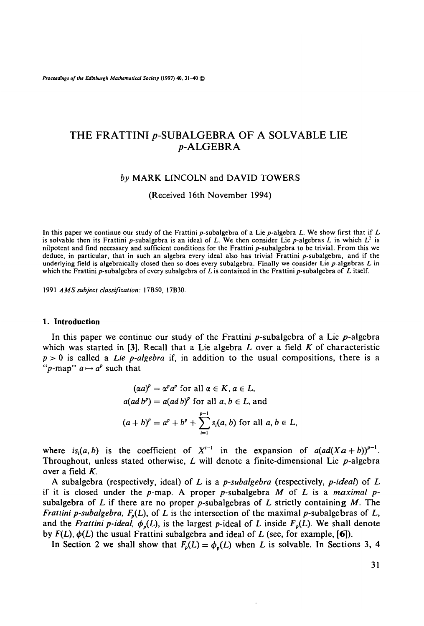*Proceedings of the Edinburgh Mathematical Society* **(1997) 40, 31-40 ©**

# THE FRATTINI p-SUBALGEBRA OF A SOLVABLE LIE p-ALGEBRA

#### *by* MARK LINCOLN and DAVID TOWERS

(Received 16th November 1994)

In this paper we continue our study of the Frattini p-subalgebra of a Lie p-algebra L. We show first that if L is solvable then its Frattini p-subalgebra is an ideal of L. We then consider Lie p-algebras L in which  $L^2$  is nilpotent and find necessary and sufficient conditions for the Frattini p-subalgebra to be trivial. From this we<br>deduce, in particular, that in such an algebra every ideal also has trivial Frattini p-subalgebra, and if th

1991 *AMS subject classification:* 17B50, 17B30.

#### **1. Introduction**

In this paper we continue our study of the Frattini  $p$ -subalgebra of a Lie  $p$ -algebra which was started in [3]. Recall that a Lie algebra *L* over a field *K* of characteristic p > 0 is called a *Lie p-algebra* if, in addition to the usual compositions, there is a "p-map"  $a \mapsto a^p$  such that

$$
(\alpha a)^p = \alpha^p a^p \text{ for all } \alpha \in K, a \in L,
$$
  

$$
a(ad b^p) = a(ad b)^p \text{ for all } a, b \in L, \text{ and}
$$
  

$$
(a+b)^p = a^p + b^p + \sum_{i=1}^{p-1} s_i(a, b) \text{ for all } a, b \in L,
$$

where  $is_i(a, b)$  is the coefficient of  $X^{i-1}$  in the expansion of  $a(ad(Xa+b))^{p-1}$ . Throughout, unless stated otherwise, L will denote a finite-dimensional Lie p-algebra over a field *K.*

A subalgebra (respectively, ideal) of *L* is a *p-subalgebra* (respectively, *p-ideat)* of *L* if it is closed under the  $p$ -map. A proper  $p$ -subalgebra  $M$  of  $L$  is a *maximal*  $p$ subalgebra of  $L$  if there are no proper  $p$ -subalgebras of  $L$  strictly containing  $M$ . The *Frattini p-subalgebra,*  $F_p(L)$ , of L is the intersection of the maximal p-subalgebras of L, and the *Frattini p-ideal,*  $\phi_p(L)$ , is the largest p-ideal of L inside  $F_p(L)$ . We shall denote by  $F(L)$ ,  $\phi(L)$  the usual Frattini subalgebra and ideal of L (see, for example, [6]).

In Section 2 we shall show that  $F_p(L) = \phi_p(L)$  when *L* is solvable. In Sections 3, 4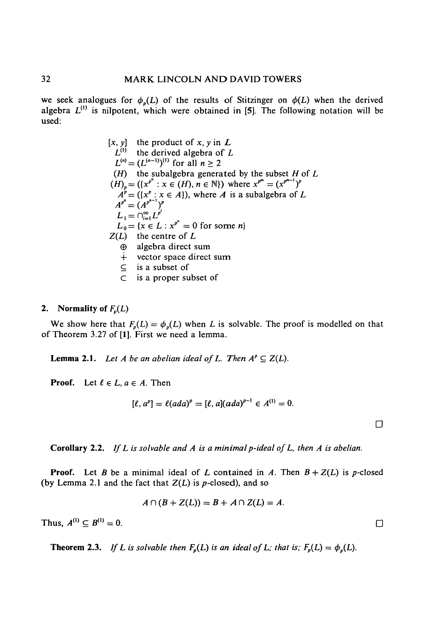we seek analogues for  $\phi_p(L)$  of the results of Stitzinger on  $\phi(L)$  when the derived algebra  $L^{(1)}$  is nilpotent, which were obtained in [5]. The following notation will be used:

$$
[x, y]
$$
 the product of *x*, *y* in *L*  
\n
$$
L^{(1)}
$$
 the derived algebra of *L*  
\n
$$
L^{(n)} = (L^{(n-1)})^{(1)}
$$
 for all *n* ≥ 2  
\n(*H*) the subalgebra generated by the subset *H* of *L*  
\n(*H*)<sub>*p*</sub> = ( $(x^{p^n} : x \in (H), n \in \mathbb{N})$ ) where  $x^{p^m} = (x^{p^{m-1}})^p$   
\n $A^p = (x^p : x \in A)$ , where *A* is a subalgebra of *L*  
\n $A^{p^n} = (A^{p^{n-1}})^p$   
\n $L_1 = \bigcap_{i=1}^{\infty} L^{p^i}$   
\n $L_0 = \{x \in L : x^{p^n} = 0 \text{ for some } n\}$   
\n $Z(L)$  the centre of *L*  
\n $\oplus$  algebra direct sum  
\n $\vdots$  is a subset of  
\n $\subset$  is a proper subset of

# 2. Normality of  $F_p(L)$

We show here that  $F_p(L) = \phi_p(L)$  when *L* is solvable. The proof is modelled on that of Theorem 3.27 of [1]. First we need a lemma.

**Lemma 2.1.** Let A be an abelian ideal of L. Then  $A^p \subseteq Z(L)$ .

**Proof.** Let  $\ell \in L$ ,  $a \in A$ . Then

$$
[\ell, a^p] = \ell (ada)^p = [\ell, a](ada)^{p-1} \in A^{(1)} = 0.
$$

**D**

**Corollary** 2.2. *If L is solvable and A is a minimal p-ideal of L, then A is abelian.*

**Proof.** Let *B* be a minimal ideal of *L* contained in *A*. Then  $B + Z(L)$  is *p*-closed (by Lemma 2.1 and the fact that  $Z(L)$  is  $p$ -closed), and so

$$
A\cap (B+Z(L))=B+A\cap Z(L)=A.
$$

Thus,  $A^{(1)} \subseteq B^{(1)}$  $\alpha' = 0.$ 

**Theorem 2.3.** If L is solvable then  $F_p(L)$  is an ideal of L; that is;  $F_p(L) = \phi_p(L)$ .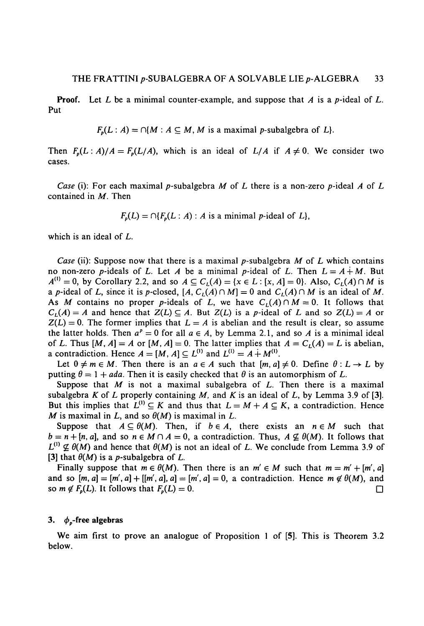**Proof.** Let L be a minimal counter-example, and suppose that A is a p-ideal of L. Put

$$
F_p(L:A) = \bigcap \{M : A \subseteq M, M \text{ is a maximal } p\text{-subalgebra of } L \}.
$$

Then  $F_p(L : A)/A = F_p(L/A)$ , which is an ideal of  $L/A$  if  $A \neq 0$ . We consider two cases.

*Case* (i): For each maximal p-subalgebra *M* of *L* there is a non-zero p-ideal *A* of *L* contained in M. Then

 $F_p(L) = \bigcap \{F_p(L : A) : A \text{ is a minimal } p\text{-ideal of } L\},\$ 

which is an ideal of *L.*

*Case* (ii): Suppose now that there is a maximal p-subalgebra *M* of *L* which contains no non-zero p-ideals of L. Let A be a minimal p-ideal of L. Then  $L = A + M$ . But  $A^{(1)} = 0$ , by Corollary 2.2, and so  $A \subseteq C_L(A) = \{x \in L : [x, A] = 0\}$ . Also,  $C_L(A) \cap M$  is a p-ideal of L, since it is p-closed,  $[A, C_L(A) \cap M] = 0$  and  $C_L(A) \cap M$  is an ideal of M. As M contains no proper p-ideals of L, we have  $C_L(A) \cap M = 0$ . It follows that  $C_L(A) = A$  and hence that  $Z(L) \subseteq A$ . But  $Z(L)$  is a p-ideal of L and so  $Z(L) = A$  or  $Z(L) = 0$ . The former implies that  $L = A$  is abelian and the result is clear, so assume the latter holds. Then  $a^p = 0$  for all  $a \in A$ , by Lemma 2.1, and so A is a minimal ideal of *L*. Thus  $[M, A] = A$  or  $[M, A] = 0$ . The latter implies that  $A = C_L(A) = L$  is abelian, a contradiction. Hence  $A = [M, A] \subseteq L^{(1)}$  and  $L^{(1)} = A + M^{(1)}$ .

Let  $0 \neq m \in M$ . Then there is an  $a \in A$  such that  $[m, a] \neq 0$ . Define  $\theta : L \to L$  by putting  $\theta = 1 + ada$ . Then it is easily checked that  $\theta$  is an automorphism of L.

Suppose that *M* is not a maximal subalgebra of *L.* Then there is a maximal subalgebra K of L properly containing M, and K is an ideal of L, by Lemma 3.9 of [3]. But this implies that  $L^{(1)} \subseteq K$  and thus that  $L = M + A \subseteq K$ , a contradiction. Hence *M* is maximal in *L*, and so  $\theta(M)$  is maximal in *L*.

Suppose that  $A \subseteq \theta(M)$ . Then, if  $b \in A$ , there exists an  $n \in M$  such that  $b = n + [n, a]$ , and so  $n \in M \cap A = 0$ , a contradiction. Thus,  $A \nsubseteq \theta(M)$ . It follows that  $L^{(1)} \nsubseteq \theta(M)$  and hence that  $\theta(M)$  is not an ideal of L. We conclude from Lemma 3.9 of [3] that  $\theta(M)$  is a *p*-subalgebra of *L*.

Finally suppose that  $m \in \theta(M)$ . Then there is an  $m' \in M$  such that  $m = m' + [m', a]$ and so  $[m, a] = [m', a] + [[m', a], a] = [m', a] = 0$ , a contradiction. Hence  $m \notin \theta(M)$ , and so  $m \notin F_p(L)$ . It follows that  $F_p(L) = 0$ .

#### 3. *4>p-free* **algebras**

We aim first to prove an analogue of Proposition 1 of [5]. This is Theorem 3.2 below.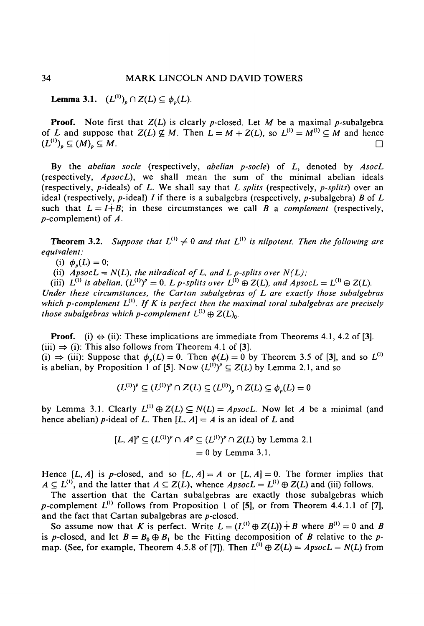**Lemma 3.1.**  $(L^{(1)})_p \cap Z(L) \subseteq \phi_p(L)$ .

**Proof.** Note first that  $Z(L)$  is clearly p-closed. Let M be a maximal p-subalgebra of *L* and suppose that  $Z(L) \nsubseteq M$ . Then  $L = M + Z(L)$ , so  $L^{(1)} = M^{(1)} \subseteq M$  and hence  $(L^{(1)})_p \subseteq (M)_p \subseteq M$ .

By the *abelian socle* (respectively, *abelian p-socle)* of *L,* denoted by *AsocL* (respectively, *ApsocL),* we shall mean the sum of the minimal abelian ideals (respectively,  $p$ -ideals) of  $L$ . We shall say that  $L$  splits (respectively,  $p$ -splits) over an ideal (respectively,  $p$ -ideal) *I* if there is a subalgebra (respectively,  $p$ -subalgebra) *B* of *L* such that  $L = I + B$ ; in these circumstances we call B a *complement* (respectively,  $p$ -complement) of  $\Lambda$ .

**Theorem 3.2.** Suppose that  $L^{(1)} \neq 0$  and that  $L^{(1)}$  is nilpotent. Then the following are *equivalent:*

(i)  $\phi_n(L) = 0;$ 

(ii)  $ApsocL = N(L)$ , the nilradical of L, and L p-splits over  $N(L)$ ;

(iii)  $L^{(1)}$  is abelian,  $(L^{(1)})^p = 0$ , L p-splits over  $L^{(1)} \oplus Z(L)$ , and  $ApsocL = L^{(1)} \oplus Z(L)$ . *Under these circumstances, the Cartan subalgebras of L are exactly those subalgebras which p-complement*  $L^{(1)}$ . If K is perfect then the maximal toral subalgebras are precisely those subalgebras which p-complement  $L^{(1)} \oplus Z(L)_{0}$ .

**Proof.** (i)  $\Leftrightarrow$  (ii): These implications are immediate from Theorems 4.1, 4.2 of [3].  $(iii) \Rightarrow (i)$ : This also follows from Theorem 4.1 of [3]. (i)  $\Rightarrow$  (iii): Suppose that  $\phi_n(L) = 0$ . Then  $\phi(L) = 0$  by Theorem 3.5 of [3], and so  $L^{(1)}$ is abelian, by Proposition 1 of [5]. Now  $(L^{(1)})^p \subseteq Z(L)$  by Lemma 2.1, and so

$$
(L^{(1)})^p \subseteq (L^{(1)})^p \cap Z(L) \subseteq (L^{(1)})_p \cap Z(L) \subseteq \phi_p(L) = 0
$$

by Lemma 3.1. Clearly  $L^{(1)} \oplus Z(L) \subseteq N(L) = ApostL$ . Now let A be a minimal (and hence abelian) *p*-ideal of *L*. Then  $[L, A] = A$  is an ideal of *L* and

$$
[L, A]^p \subseteq (L^{(1)})^p \cap A^p \subseteq (L^{(1)})^p \cap Z(L)
$$
 by Lemma 2.1  
= 0 by Lemma 3.1.

Hence [L, A] is p-closed, and so  $[L, A] = A$  or  $[L, A] = 0$ . The former implies that  $A \subseteq L^{(1)}$ , and the latter that  $A \subseteq Z(L)$ , whence  $ApsocL = L^{(1)} \oplus Z(L)$  and (iii) follows.

The assertion that the Cartan subalgebras are exactly those subalgebras which p-complement  $L^{(1)}$  follows from Proposition 1 of [5], or from Theorem 4.4.1.1 of [7], and the fact that Cartan subalgebras are  $p$ -closed.

So assume now that *K* is perfect. Write  $L = (L^{(1)} \oplus Z(L)) + B$  where  $B^{(1)} = 0$  and *B* is *p*-closed, and let  $B = B_0 \oplus B_1$  be the Fitting decomposition of *B* relative to the *p*map. (See, for example, Theorem 4.5.8 of [7]). Then  $L^{(i)} \oplus Z(L) = Apost L = N(L)$  from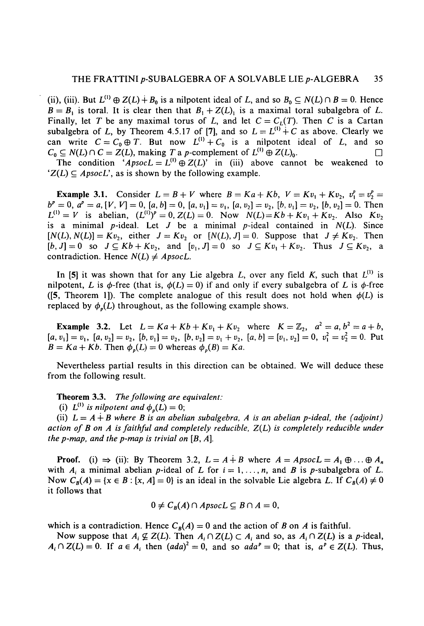(ii), (iii). But  $L^{(1)} \oplus Z(L) + B_0$  is a nilpotent ideal of L, and so  $B_0 \subseteq N(L) \cap B = 0$ . Hence  $B = B_1$  is toral. It is clear then that  $B_1 + Z(L)$  is a maximal toral subalgebra of L. Finally, let T be any maximal torus of L, and let  $C = C_L(T)$ . Then C is a Cartan subalgebra of L, by Theorem 4.5.17 of [7], and so  $L = L^{(1)} + C$  as above. Clearly we can write  $C = C_0 \oplus T$ . But now  $L^{(1)} + C_0$  is a nilpotent ideal of L, and so  $C_0 \subseteq N(L) \cap C = Z(L)$ , making *T* a *p*-complement of  $L^{(1)} \oplus Z(L)_0$ .

The condition  $AB_{PSOCL} = L^{(1)} \oplus Z(L)$  in (iii) above cannot be weakened to  $Z(L) \subseteq$  *ApsocL'*, as is shown by the following example.

**Example 3.1.** Consider  $L = B + V$  where  $B = Ka + Kb$ ,  $V = Kv_1 + Kv_2$ ,  $v_1^p = v_2^p =$  $b^p = 0$ ,  $a^p = a$ ,  $[V, V] = 0$ ,  $[a, b] = 0$ ,  $[a, v_1] = v_1$ ,  $[a, v_2] = v_2$ ,  $[b, v_1] = v_2$ ,  $[b, v_2] = 0$ . Then  $L^{(1)} = V$  is abelian,  $(L^{(1)})^p = 0$ ,  $Z(L) = 0$ . Now  $N(L) = Kb + Kv_1 + Kv_2$ . Also  $Kv_2$ is a minimal  $p$ -ideal. Let  $J$  be a minimal  $p$ -ideal contained in  $N(L)$ . Since  $[N(L), N(L)] = Kv_2$ , either  $J = Kv_2$  or  $[N(L), J] = 0$ . Suppose that  $J \neq Kv_2$ . Then  $[b, J] = 0$  so  $J \subseteq Kb + Kv_2$ , and  $[v_1, J] = 0$  so  $J \subseteq Kv_1 + Kv_2$ . Thus  $J \subseteq Kv_2$ , a contradiction. Hence  $N(L) \neq ApostL$ .

In [5] it was shown that for any Lie algebra L, over any field K, such that  $L^{(1)}$  is nilpotent, L is  $\phi$ -free (that is,  $\phi(L) = 0$ ) if and only if every subalgebra of L is  $\phi$ -free ([5, Theorem 1]). The complete analogue of this result does not hold when  $\phi(L)$  is replaced by  $\phi_n(L)$  throughout, as the following example shows.

**Example 3.2.** Let  $L = Ka + Kb + Kv_1 + Kv_2$  where  $K = \mathbb{Z}_2$ ,  $a^2 = a, b^2 = a + b$ ,  $[a, v_1] = v_1$ ,  $[a, v_2] = v_2$ ,  $[b, v_1] = v_2$ ,  $[b, v_2] = v_1 + v_2$ ,  $[a, b] = [v_1, v_2] = 0$ ,  $v_1^2 = v_2^2 = 0$ . Put  $B = Ka + Kb$ . Then  $\phi_p(L) = 0$  whereas  $\phi_p(B) = Ka$ .

Nevertheless partial results in this direction can be obtained. We will deduce these from the following result.

**Theorem 3.3.** *The following are equivalent:*

(i)  $L^{(1)}$  is nilpotent and  $\phi_p(L) = 0$ ;

(ii)  $L = A + B$  where B is an abelian subalgebra, A is an abelian p-ideal, the (adjoint) *action of B on A is faithful and completely reducible, Z(L) is completely reducible under the p-map, and the p-map is trivial on [B, A].*

**Proof.** (i)  $\Rightarrow$  (ii): By Theorem 3.2,  $L = A + B$  where  $A = ApostL = A_1 \oplus ... \oplus A_n$ with  $A_i$  a minimal abelian p-ideal of L for  $i = 1, \ldots, n$ , and B is p-subalgebra of L. Now  $C_B(A) = \{x \in B : [x, A] = 0\}$  is an ideal in the solvable Lie algebra *L*. If  $C_B(A) \neq 0$ it follows that

$$
0 \neq C_B(A) \cap ApostL \subseteq B \cap A = 0,
$$

which is a contradiction. Hence  $C_B(A) = 0$  and the action of *B* on *A* is faithful.

Now suppose that  $A_i \not\subseteq Z(L)$ . Then  $A_i \cap Z(L) \subset A_i$  and so, as  $A_i \cap Z(L)$  is a *p*-ideal,  $A_i \cap Z(L) = 0$ . If  $a \in A_i$  then  $(ada)^2 = 0$ , and so  $ada^p = 0$ ; that is,  $a^p \in Z(L)$ . Thus,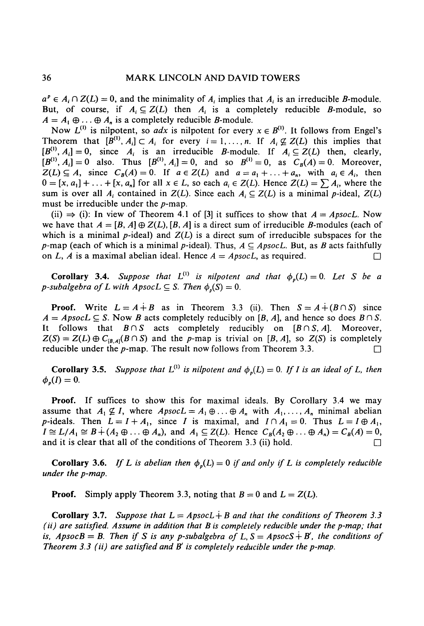$a^p \in A_i \cap Z(L) = 0$ , and the minimality of  $A_i$  implies that  $A_i$  is an irreducible *B*-module. But, of course, if  $A_i \subseteq Z(L)$  then  $A_i$  is a completely reducible *B*-module, so  $A = A_1 \oplus \ldots \oplus A_n$  is a completely reducible *B*-module.

Now  $L^{(1)}$  is nilpotent, so *adx* is nilpotent for every  $x \in B^{(1)}$ . It follows from Engel's Theorem that  $[B^{(1)}, A_i] \subset A_i$  for every  $i = 1, ..., n$ . If  $A_i \not\subseteq Z(L)$  this implies that  $[B^{(1)}, A_i] = 0$ , since  $A_i$  is an irreducible *B*-module. If  $A_i \subseteq Z(L)$  then, clearly,  $[B^{(1)}, A_i] = 0$  also. Thus  $[B^{(1)}, A_i] = 0$ , and so  $B^{(1)} = 0$ , as  $C_B(A) = 0$ . Moreover,  $Z(L) \subseteq A$ , since  $C_B(A) = 0$ . If  $a \in Z(L)$  and  $a = a_1 + \ldots + a_n$ , with  $a_i \in A_i$ , then  $0 = [x, a_1] + \ldots + [x, a_n]$  for all  $x \in L$ , so each  $a_i \in Z(L)$ . Hence  $Z(L) = \sum A_i$ , where the sum is over all  $A_i$  contained in  $Z(L)$ . Since each  $A_i \subseteq Z(L)$  is a minimal p-ideal,  $Z(L)$ must be irreducible under the *p-map.*

(ii)  $\Rightarrow$  (i): In view of Theorem 4.1 of [3] it suffices to show that  $A = ApostcL$ . Now we have that  $A = [B, A] \oplus Z(L)$ ,  $[B, A]$  is a direct sum of irreducible B-modules (each of which is a minimal  $p$ -ideal) and  $Z(L)$  is a direct sum of irreducible subspaces for the *p*-map (each of which is a minimal *p*-ideal). Thus,  $A \subseteq$  *ApsocL.* But, as *B* acts faithfully on L, A is a maximal abelian ideal. Hence  $A = ApostL$ , as required.

**Corollary 3.4.** Suppose that  $L^{(1)}$  is nilpotent and that  $\phi_p(L) = 0$ . Let S be a *p*-subalgebra of L with  $A$ psoc $L \subseteq S$ . Then  $\phi_n(S) = 0$ .

**Proof.** Write  $L = A + B$  as in Theorem 3.3 (ii). Then  $S = A + (B \cap S)$  since  $A = ApostL \subseteq S$ . Now *B* acts completely reducibly on [*B, A*], and hence so does  $B \cap S$ . It follows that  $B \cap S$  acts completely reducibly on  $[B \cap S, A]$ . Moreover,  $Z(S) = Z(L) \oplus C_{[B,A]}(B \cap S)$  and the p-map is trivial on [B, A], so  $Z(S)$  is completely reducible under the  $p$ -map. The result now follows from Theorem 3.3.  $\Box$ 

**Corollary 3.5.** Suppose that  $L^{(1)}$  is nilpotent and  $\phi_p(L) = 0$ . If I is an ideal of L, then  $\phi_p(I) = 0.$ 

**Proof.** If suffices to show this for maximal ideals. By Corollary 3.4 we may assume that  $A_1 \nsubseteq I$ , where  $ApsocL = A_1 \oplus ... \oplus A_n$  with  $A_1, ..., A_n$  minimal abelian p-ideals. Then  $L = I + A_1$ , since *I* is maximal, and  $I \cap A_1 = 0$ . Thus  $L = I \oplus A_1$ ,  $I \cong L/A_1 \cong B + (A_2 \oplus \ldots \oplus A_n)$ , and  $A_1 \subseteq Z(L)$ . Hence  $C_B(A_2 \oplus \ldots \oplus A_n) = C_B(A) = 0$ , and it is clear that all of the conditions of Theorem 3.3 (ii) hold.

**Corollary 3.6.** *If L is abelian then*  $\phi_p(L) = 0$  *if and only if L is completely reducible under the p-map.*

**Proof.** Simply apply Theorem 3.3, noting that  $B = 0$  and  $L = Z(L)$ .

**Corollary 3.7.** Suppose that  $L = ApostL + B$  and that the conditions of Theorem 3.3 *(ii) are satisfied. Assume in addition that B is completely reducible under the p-map; that is, ApsocB = B. Then if S is any p-subalgebra of L, S = ApsocS + B', the conditions of Theorem 3.3 (ii) are satisfied and B' is completely reducible under the p-map.*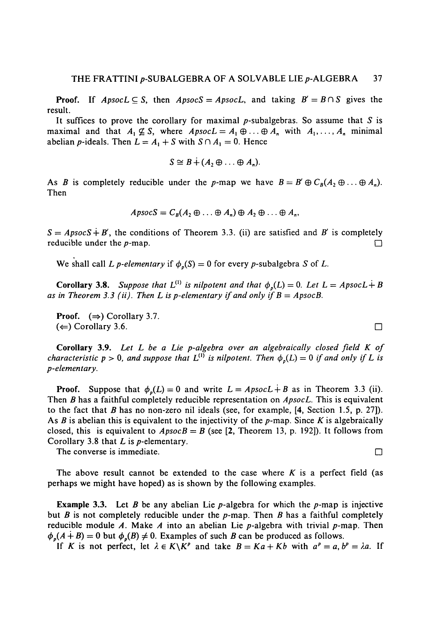**Proof.** If  $ApsocL \subseteq S$ , then  $ApsocS = ApsocL$ , and taking  $B' = B \cap S$  gives the result.

It suffices to prove the corollary for maximal  $p$ -subalgebras. So assume that  $S$  is maximal and that  $A_1 \not\subseteq S$ , where  $ApsocL = A_1 \oplus \ldots \oplus A_n$  with  $A_1, \ldots, A_n$  minimal abelian *p*-ideals. Then  $L = A_1 + S$  with  $S \cap A_1 = 0$ . Hence

$$
S \cong B \dot{+} (A, \oplus \ldots \oplus A_n).
$$

As *B* is completely reducible under the *p*-map we have  $B = B' \oplus C_B(A_2 \oplus \ldots \oplus A_n)$ . Then

$$
ApsocS = C_B(A_2 \oplus \ldots \oplus A_n) \oplus A_2 \oplus \ldots \oplus A_n,
$$

 $S = ApsocS + B'$ , the conditions of Theorem 3.3. (ii) are satisfied and B' is completely reducible under the  $p$ -map.  $\Box$ 

We shall call *L* p-elementary if  $\phi_p(S) = 0$  for every p-subalgebra *S* of *L*.

**Corollary 3.8.** Suppose that  $L^{(1)}$  is nilpotent and that  $\phi_p(L) = 0$ . Let  $L = ApostL + B$ as in Theorem 3.3 (ii). Then L is p-elementary if and only if  $B = ApsocB$ .

**Proof.**  $(\Rightarrow)$  Corollary 3.7.  $(\Leftarrow)$  Corollary 3.6.

**Corollary 3.9.** *Let L be a Lie p-algebra over an algebraically closed field K of characteristic*  $p > 0$ , and suppose that  $L^{(1)}$  is nilpotent. Then  $\phi_p(L) = 0$  if and only if L is *p-elementary.*

**Proof.** Suppose that  $\phi_p(L) = 0$  and write  $L = ApostL + B$  as in Theorem 3.3 (ii). Then *B* has a faithful completely reducible representation on *ApsocL.* This is equivalent to the fact that *B* has no non-zero nil ideals (see, for example, [4, Section 1.5, p. 27]). As  $B$  is abelian this is equivalent to the injectivity of the  $p$ -map. Since  $K$  is algebraically closed, this is equivalent to  $ApsocB = B$  (see [2, Theorem 13, p. 192]). It follows from Corollary 3.8 that *L* is p-elementary.

The converse is immediate.  $\Box$ 

The above result cannot be extended to the case where  $K$  is a perfect field (as perhaps we might have hoped) as is shown by the following examples.

**Example 3.3.** Let *B* be any abelian Lie  $p$ -algebra for which the  $p$ -map is injective but *B* is not completely reducible under the p-map. Then *B* has a faithful completely reducible module *A.* Make *A* into an abelian Lie p-algebra with trivial p-map. Then  $\phi_p(A + B) = 0$  but  $\phi_p(B) \neq 0$ . Examples of such *B* can be produced as follows.

If *K* is not perfect, let  $\lambda \in K \backslash K^p$  and take  $B = Ka + Kb$  with  $a^p = a, b^p = \lambda a$ . If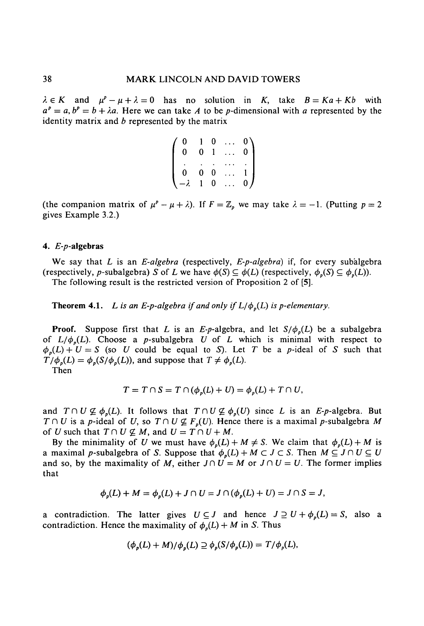$\lambda \in K$  and  $\mu^p - \mu + \lambda = 0$  has no solution in *K*, take  $B = Ka + Kb$  with  $a^p = a, b^p = b + \lambda a$ . Here we can take *A* to be *p*-dimensional with *a* represented by the identity matrix and *b* represented by the matrix

> 0 0 0 -A 1 0 0 1 0 1 0 0  $\begin{matrix} \ldots & 0\ 0\ \ldots & 0 \end{matrix}$ ... 1 ... *0)*

(the companion matrix of  $\mu^p - \mu + \lambda$ ). If  $F = \mathbb{Z}_p$  we may take  $\lambda = -1$ . (Putting  $p = 2$ gives Example 3.2.)

# 4.  $E-p$ -algebras

We say that *L* is an *E-algebra* (respectively, *E-p-algebra)* if, for every subalgebra (respectively, p-subalgebra) *S* of *L* we have  $\phi(S) \subseteq \phi(L)$  (respectively,  $\phi_n(S) \subseteq \phi_n(L)$ ). The following result is the restricted version of Proposition 2 of [5].

**Theorem 4.1.** *L* is an *E-p-algebra if and only if*  $L/\phi_p(L)$  *is p-elementary.* 

**Proof.** Suppose first that L is an E-p-algebra, and let  $S/\phi_p(L)$  be a subalgebra of  $L/\phi_p(L)$ . Choose a p-subalgebra U of L which is minimal with respect to  $\phi_p(L) + U = S$  (so U could be equal to S). Let T be a p-ideal of S such that  $T/\phi_p(L) = \phi_p(S/\phi_p(L))$ , and suppose that  $T \neq \phi_p(L)$ .

Then

$$
T = T \cap S = T \cap (\phi_p(L) + U) = \phi_p(L) + T \cap U,
$$

and  $T \cap U \not\subseteq \phi_p(L)$ . It follows that  $T \cap U \not\subseteq \phi_p(U)$  since L is an E-p-algebra. But *T* $\cap$  *U* is a *p*-ideal of *U*, so *T* $\cap$  *U*  $\nsubseteq$  *F<sub>p</sub>*(*U*). Hence there is a maximal *p*-subalgebra *M* of *U* such that  $T \cap U \nsubseteq M$ , and  $U = T \cap U + M$ .

By the minimality of U we must have  $\phi_p(L) + M \neq S$ . We claim that  $\phi_p(L) + M$  is a maximal p-subalgebra of S. Suppose that  $\phi_p(L) + M \subset J \subset S$ . Then  $M \subseteq J \cap U \subseteq U$ and so, by the maximality of M, either  $J \cap U = M$  or  $J \cap U = U$ . The former implies that

$$
\phi_p(L) + M = \phi_p(L) + J \cap U = J \cap (\phi_p(L) + U) = J \cap S = J,
$$

a contradiction. The latter gives  $U \subseteq J$  and hence  $J \supseteq U + \phi_p(L) = S$ , also a contradiction. Hence the maximality of  $\phi_p(L) + M$  in *S*. Thus

$$
(\phi_p(L)+M)/\phi_p(L)\supseteq\phi_p(S/\phi_p(L))=T/\phi_p(L),
$$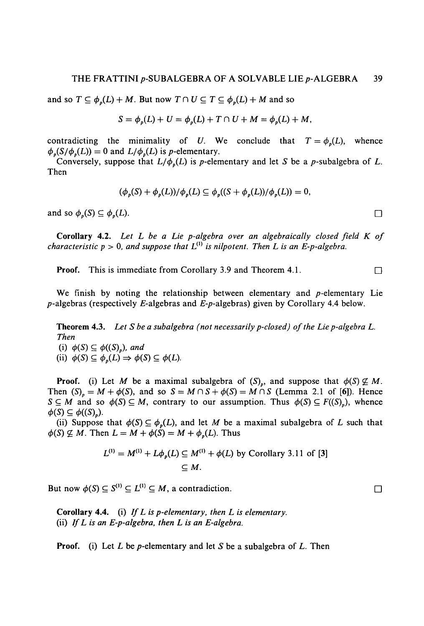and so  $T \subseteq \phi_n(L) + M$ . But now  $T \cap U \subseteq T \subseteq \phi_n(L) + M$  and so

$$
S = \phi_p(L) + U = \phi_p(L) + T \cap U + M = \phi_p(L) + M,
$$

contradicting the minimality of U. We conclude that  $T = \phi_n(L)$ , whence  $\phi_p(S/\phi_p(L)) = 0$  and  $L/\phi_p(L)$  is *p*-elementary.

Conversely, suppose that  $L/\phi_p(L)$  is *p*-elementary and let *S* be a *p*-subalgebra of *L*. Then

$$
(\phi_p(S) + \phi_p(L))/\phi_p(L) \subseteq \phi_p((S + \phi_p(L))/\phi_p(L)) = 0,
$$

and so  $\phi_p(S) \subseteq \phi_p(L)$ .

**Corollary 4.2.** Let L be a Lie p-algebra over an algebraically closed field K of *characteristic p* > 0, and suppose that  $L^{(1)}$  is nilpotent. Then L is an E-p-algebra.

**Proof.** This is immediate from Corollary 3.9 and Theorem 4.1.

We finish by noting the relationship between elementary and  $p$ -elementary Lie  $p$ -algebras (respectively *E*-algebras and *E-p*-algebras) given by Corollary 4.4 below.

**Theorem 4.3.** *Let S be a subalgebra (not necessarily p-closed) of the Lie p-algebra L. Then*

(i)  $\phi(S) \subseteq \phi((S)_p)$ , and

(ii)  $\phi(S) \subseteq \phi_p(L) \Rightarrow \phi(S) \subseteq \phi(L)$ .

**Proof.** (i) Let M be a maximal subalgebra of  $(S_p)$ , and suppose that  $\phi(S) \not\subseteq M$ . Then  $(S)_{p} = M + \phi(S)$ , and so  $S = M \cap S + \phi(S) = M \cap S$  (Lemma 2.1 of [6]). Hence  $S \subseteq M$  and so  $\phi(S) \subseteq M$ , contrary to our assumption. Thus  $\phi(S) \subseteq F((S_n))$ , whence  $\phi(S) \subseteq \phi((S))$ .

(ii) Suppose that  $\phi(S) \subseteq \phi_n(L)$ , and let M be a maximal subalgebra of L such that  $\phi(S) \not\subseteq M$ . Then  $L = M + \phi(S) = M + \phi_n(L)$ . Thus

$$
L^{(1)} = M^{(1)} + L\phi_p(L) \subseteq M^{(1)} + \phi(L)
$$
 by Corollary 3.11 of [3]  

$$
\subseteq M.
$$

But now  $\phi(S) \subseteq S^{(1)} \subseteq L^{(1)} \subseteq M$ , a contradiction.

**Corollary 4.4.** (i) *If L is p-elementary, then L is elementary.* (ii) *If L is an E-p-algebra, then L is an E-algebra.*

**Proof.** (i) Let *L* be *p*-elementary and let *S* be a subalgebra of *L*. Then